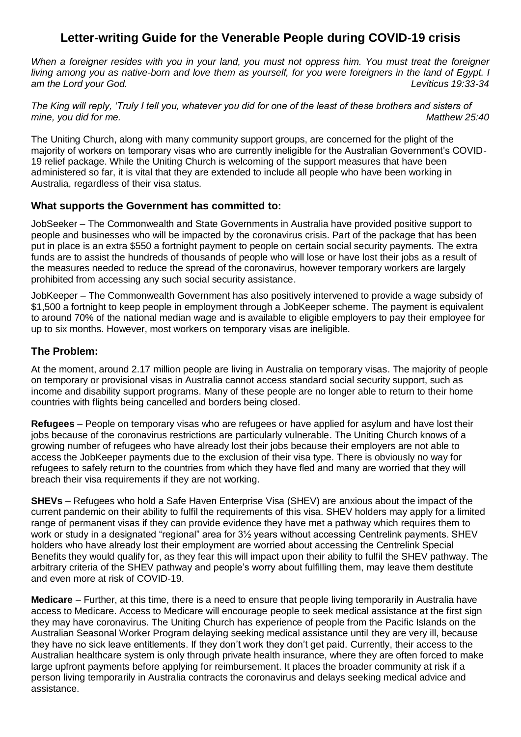# **Letter-writing Guide for the Venerable People during COVID-19 crisis**

*When a foreigner resides with you in your land, you must not oppress him. You must treat the foreigner living among you as native-born and love them as yourself, for you were foreigners in the land of Egypt. I am the Lord your God. Leviticus 19:33-34*

*The King will reply, 'Truly I tell you, whatever you did for one of the least of these brothers and sisters of mine, you did for me. Matthew 25:40*

The Uniting Church, along with many community support groups, are concerned for the plight of the majority of workers on temporary visas who are currently ineligible for the Australian Government's COVID-19 relief package. While the Uniting Church is welcoming of the support measures that have been administered so far, it is vital that they are extended to include all people who have been working in Australia, regardless of their visa status.

### **What supports the Government has committed to:**

JobSeeker – The Commonwealth and State Governments in Australia have provided positive support to people and businesses who will be impacted by the coronavirus crisis. Part of the package that has been put in place is an extra \$550 a fortnight payment to people on certain social security payments. The extra funds are to assist the hundreds of thousands of people who will lose or have lost their jobs as a result of the measures needed to reduce the spread of the coronavirus, however temporary workers are largely prohibited from accessing any such social security assistance.

JobKeeper – The Commonwealth Government has also positively intervened to provide a wage subsidy of \$1,500 a fortnight to keep people in employment through a JobKeeper scheme. The payment is equivalent to around 70% of the national median wage and is available to eligible employers to pay their employee for up to six months. However, most workers on temporary visas are ineligible.

### **The Problem:**

At the moment, around 2.17 million people are living in Australia on temporary visas. The majority of people on temporary or provisional visas in Australia cannot access standard social security support, such as income and disability support programs. Many of these people are no longer able to return to their home countries with flights being cancelled and borders being closed.

**Refugees** – People on temporary visas who are refugees or have applied for asylum and have lost their jobs because of the coronavirus restrictions are particularly vulnerable. The Uniting Church knows of a growing number of refugees who have already lost their jobs because their employers are not able to access the JobKeeper payments due to the exclusion of their visa type. There is obviously no way for refugees to safely return to the countries from which they have fled and many are worried that they will breach their visa requirements if they are not working.

**SHEVs** – Refugees who hold a Safe Haven Enterprise Visa (SHEV) are anxious about the impact of the current pandemic on their ability to fulfil the requirements of this visa. SHEV holders may apply for a limited range of permanent visas if they can provide evidence they have met a pathway which requires them to work or study in a designated "regional" area for  $3\frac{1}{2}$  years without accessing Centrelink payments. SHEV holders who have already lost their employment are worried about accessing the Centrelink Special Benefits they would qualify for, as they fear this will impact upon their ability to fulfil the SHEV pathway. The arbitrary criteria of the SHEV pathway and people's worry about fulfilling them, may leave them destitute and even more at risk of COVID-19.

**Medicare** – Further, at this time, there is a need to ensure that people living temporarily in Australia have access to Medicare. Access to Medicare will encourage people to seek medical assistance at the first sign they may have coronavirus. The Uniting Church has experience of people from the Pacific Islands on the Australian Seasonal Worker Program delaying seeking medical assistance until they are very ill, because they have no sick leave entitlements. If they don't work they don't get paid. Currently, their access to the Australian healthcare system is only through private health insurance, where they are often forced to make large upfront payments before applying for reimbursement. It places the broader community at risk if a person living temporarily in Australia contracts the coronavirus and delays seeking medical advice and assistance.